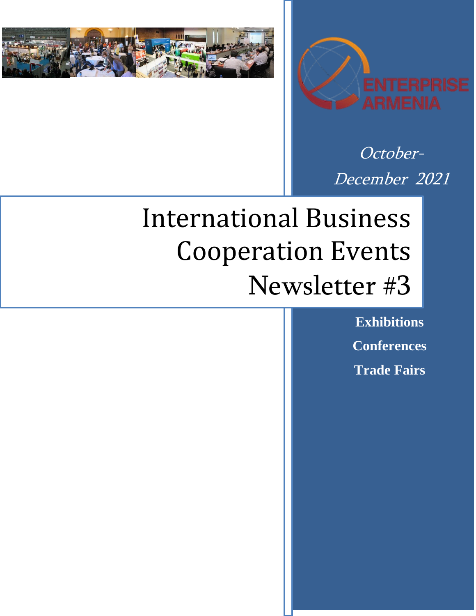



October-December 2021

# International Business Cooperation Events Newsletter #3

**Exhibitions Conferences Trade Fairs**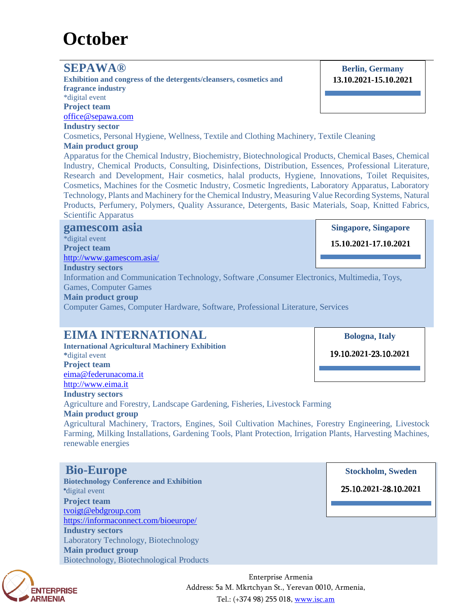## **October**

### **SEPAWA®**

**Exhibition and congress of the detergents/cleansers, cosmetics and fragrance industry** \*digital event **Project team** [office@sepawa.com](mailto:office@sepawa.com) **Industry sector** Cosmetics, Personal Hygiene, Wellness, Textile and Clothing Machinery, Textile Cleaning **Main product group**

Apparatus for the Chemical Industry, Biochemistry, Biotechnological Products, Chemical Bases, Chemical Industry, Chemical Products, Consulting, Disinfections, Distribution, Essences, Professional Literature, Research and Development, Hair cosmetics, halal products, Hygiene, Innovations, Toilet Requisites, Cosmetics, Machines for the Cosmetic Industry, Cosmetic Ingredients, Laboratory Apparatus, Laboratory Technology, Plants and Machinery for the Chemical Industry, Measuring Value Recording Systems, Natural Products, Perfumery, Polymers, Quality Assurance, Detergents, Basic Materials, Soap, Knitted Fabrics, Scientific Apparatus

| gamescom asia                                                                                | <b>Singapore, Singapore</b> |
|----------------------------------------------------------------------------------------------|-----------------------------|
| *digital event                                                                               | 15.10.2021-17.10.2021       |
| <b>Project team</b>                                                                          |                             |
| http://www.gamescom.asia/                                                                    |                             |
| <b>Industry sectors</b>                                                                      |                             |
| Information and Communication Technology, Software , Consumer Electronics, Multimedia, Toys, |                             |
| <b>Games, Computer Games</b>                                                                 |                             |
| <b>Main product group</b>                                                                    |                             |
| Computer Games, Computer Hardware, Software, Professional Literature, Services               |                             |
|                                                                                              |                             |

## **EIMA INTERNATIONAL**

**International Agricultural Machinery Exhibition \***digital event **Project team** [eima@federunacoma.it](mailto:eima@federunacoma.it) [http://www.eima.it](http://www.eima.it/) **Industry sectors** Agriculture and Forestry, Landscape Gardening, Fisheries, Livestock Farming **Main product group** Agricultural Machinery, Tractors, Engines, Soil Cultivation Machines, Forestry Engineering, Livestock Farming, Milking Installations, Gardening Tools, Plant Protection, Irrigation Plants, Harvesting Machines, renewable energies 19**.**10**.2021-**23**.**10**.2021**

## **Bio-Europe**

**Biotechnology Conference and Exhibition** \*digital event **Project team** tvoigt@ebdgroup.com <https://informaconnect.com/bioeurope/> **Industry sectors** Laboratory Technology, Biotechnology **Main product group** Biotechnology, Biotechnological Products **Stockholm**, **Sweden**

**Bologna**, **Italy**

25**.**10**.2021-2**8**.**10**.2021**

**ENTERPRISE ARMENIA** 

Enterprise Armenia Address: 5a M. Mkrtchyan St., Yerevan 0010, Armenia, Tel.: (+374 98) 255 018, [www.isc.am](http://www.isc.am/) 

**Berlin, Germany 13.10.2021-15.10.2021**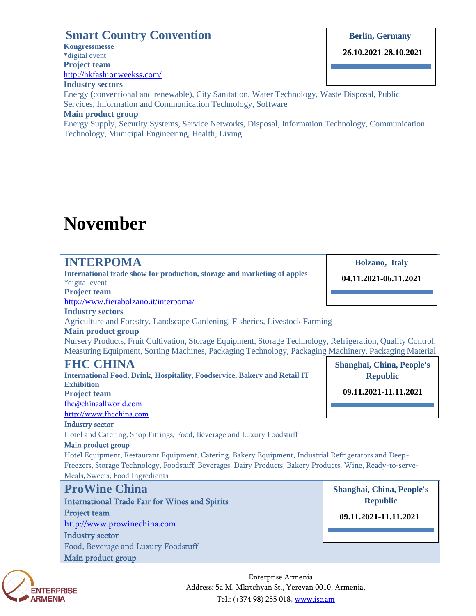## **Smart Country Convention**

**Kongressmesse \***digital event **Project team** <http://hkfashionweekss.com/> **Industry sectors**

Energy (conventional and renewable), City Sanitation, Water Technology, Waste Disposal, Public Services, Information and Communication Technology, Software

#### **Main product group**

Energy Supply, Security Systems, Service Networks, Disposal, Information Technology, Communication Technology, Municipal Engineering, Health, Living

## **November**

## **INTERPOMA**

**International trade show for production, storage and marketing of apples** \*digital event

**Project team**

<http://www.fierabolzano.it/interpoma/>

#### **Industry sectors**

Agriculture and Forestry, Landscape Gardening, Fisheries, Livestock Farming

#### **Main product group**

Nursery Products, Fruit Cultivation, Storage Equipment, Storage Technology, Refrigeration, Quality Control, Measuring Equipment, Sorting Machines, Packaging Technology, Packaging Machinery, Packaging Material

Hotel Equipment, Restaurant Equipment, Catering, Bakery Equipment, Industrial Refrigerators and Deep-Freezers, Storage Technology, Foodstuff, Beverages, Dairy Products, Bakery Products, Wine, Ready-to-serve-

## **FHC CHINA**

Main product group

Project team

Industry sector

Main product group

Meals, Sweets, Food Ingredients

[http://www.prowinechina.com](http://www.prowinechina.com/)

Food, Beverage and Luxury Foodstuff

International Trade Fair for Wines and Spirits

**ProWine China**

**International Food, Drink, Hospitality, Foodservice, Bakery and Retail IT Exhibition Project team** [fhc@chinaallworld.com](mailto:fhc@chinaallworld.com) [http://www.fhcchina.com](http://www.fhcchina.com/) Industry sector

Hotel and Catering, Shop Fittings, Food, Beverage and Luxury Foodstuff

**Shanghai, China, People's Republic**

**Bolzano, Italy**

**04.11.2021-06.11.2021**

 **09.11.2021-11.11.2021**

**Shanghai, China, People's Republic**

 **09.11.2021-11.11.2021**

```
ENTERPRISE
ARMENIA
```
Enterprise Armenia Address: 5a M. Mkrtchyan St., Yerevan 0010, Armenia, Tel.: (+374 98) 255 018, [www.isc.am](http://www.isc.am/) 

 **Berlin, Germany**

26**.10.2021-2**8**.10.2021**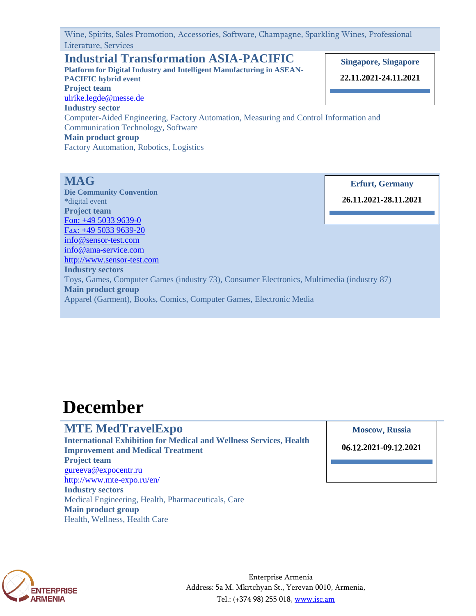Wine, Spirits, Sales Promotion, Accessories, Software, Champagne, Sparkling Wines, Professional Literature, Services

## **Industrial Transformation ASIA-PACIFIC**

**Platform for Digital Industry and Intelligent Manufacturing in ASEAN-PACIFIC hybrid event Project team** [ulrike.legde@messe.de](mailto:ulrike.legde@messe.de) **Industry sector** Computer-Aided Engineering, Factory Automation, Measuring and Control Information and Communication Technology, Software **Main product group** Factory Automation, Robotics, Logistics

## **MAG**

**Die Community Convention \***digital event **Project team** Fon: +49 5033 9639-0 Fax: +49 5033 9639-20 info@sensor-test.com info@ama-service.com http://www.sensor-test.com **Industry sectors** Toys, Games, Computer Games (industry 73), Consumer Electronics, Multimedia (industry 87) **Main product group** Apparel (Garment), Books, Comics, Computer Games, Electronic Media

## **Erfurt, Germany**

**Singapore, Singapore 22.11.2021-24.11.2021**

**26.11.2021-28.11.2021**

## **December**

## **MTE MedTravelExpo**

**International Exhibition for Medical and Wellness Services, Health Improvement and Medical Treatment Project team** gureeva@expocentr.ru http://www.mte-expo.ru/en/ **Industry sectors** Medical Engineering, Health, Pharmaceuticals, Care **Main product group** Health, Wellness, Health Care

**Moscow**, **Russia**

**0**6**.**12**.2021-0**9**.**12**.2021**



Enterprise Armenia Address: 5a M. Mkrtchyan St., Yerevan 0010, Armenia, Tel.: (+374 98) 255 018, [www.isc.am](http://www.isc.am/)